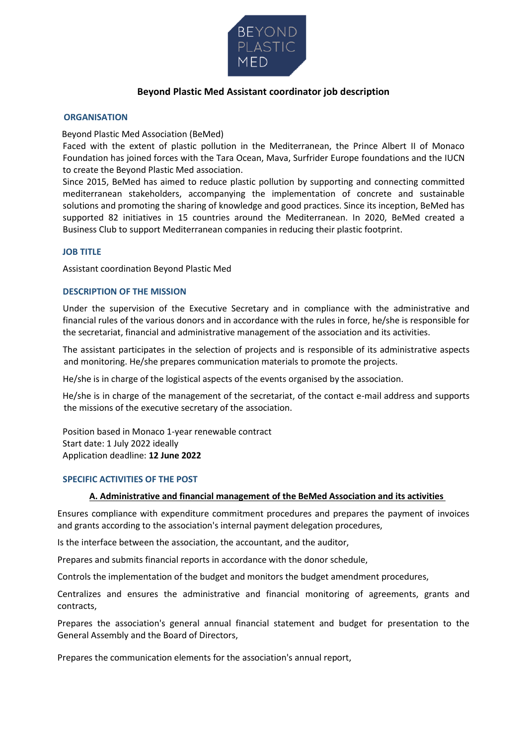

# **Beyond Plastic Med Assistant coordinator job description**

### **ORGANISATION**

#### Beyond Plastic Med Association (BeMed)

Faced with the extent of plastic pollution in the Mediterranean, the Prince Albert II of Monaco Foundation has joined forces with the Tara Ocean, Mava, Surfrider Europe foundations and the IUCN to create the Beyond Plastic Med association.

Since 2015, BeMed has aimed to reduce plastic pollution by supporting and connecting committed mediterranean stakeholders, accompanying the implementation of concrete and sustainable solutions and promoting the sharing of knowledge and good practices. Since its inception, BeMed has supported 82 initiatives in 15 countries around the Mediterranean. In 2020, BeMed created a Business Club to support Mediterranean companies in reducing their plastic footprint.

#### **JOB TITLE**

Assistant coordination Beyond Plastic Med

#### **DESCRIPTION OF THE MISSION**

Under the supervision of the Executive Secretary and in compliance with the administrative and financial rules of the various donors and in accordance with the rules in force, he/she is responsible for the secretariat, financial and administrative management of the association and its activities.

The assistant participates in the selection of projects and is responsible of its administrative aspects and monitoring. He/she prepares communication materials to promote the projects.

He/she is in charge of the logistical aspects of the events organised by the association.

He/she is in charge of the management of the secretariat, of the contact e-mail address and supports the missions of the executive secretary of the association.

Position based in Monaco 1-year renewable contract Start date: 1 July 2022 ideally Application deadline: **12 June 2022**

#### **SPECIFIC ACTIVITIES OF THE POST**

#### **A. Administrative and financial management of the BeMed Association and its activities**

Ensures compliance with expenditure commitment procedures and prepares the payment of invoices and grants according to the association's internal payment delegation procedures,

Is the interface between the association, the accountant, and the auditor,

Prepares and submits financial reports in accordance with the donor schedule,

Controls the implementation of the budget and monitors the budget amendment procedures,

Centralizes and ensures the administrative and financial monitoring of agreements, grants and contracts,

Prepares the association's general annual financial statement and budget for presentation to the General Assembly and the Board of Directors,

Prepares the communication elements for the association's annual report,